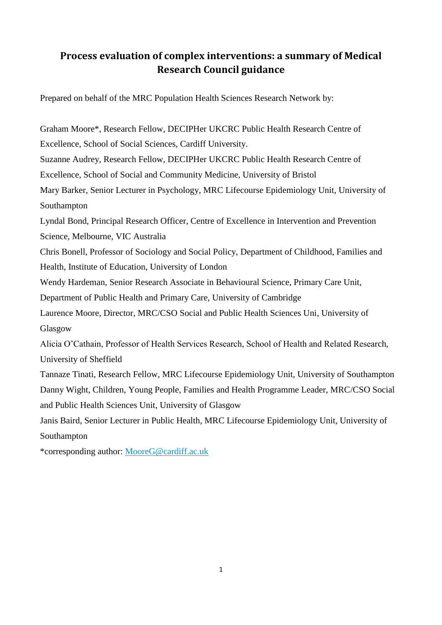# **Process evaluation of complex interventions: a summary of Medical Research Council guidance**

Prepared on behalf of the MRC Population Health Sciences Research Network by:

Graham Moore\*, Research Fellow, DECIPHer UKCRC Public Health Research Centre of Excellence, School of Social Sciences, Cardiff University. Suzanne Audrey, Research Fellow, DECIPHer UKCRC Public Health Research Centre of Excellence, School of Social and Community Medicine, University of Bristol Mary Barker, Senior Lecturer in Psychology, MRC Lifecourse Epidemiology Unit, University of Southampton Lyndal Bond, Principal Research Officer, Centre of Excellence in Intervention and Prevention Science, Melbourne, VIC Australia Chris Bonell, Professor of Sociology and Social Policy, Department of Childhood, Families and Health, Institute of Education, University of London Wendy Hardeman, Senior Research Associate in Behavioural Science, Primary Care Unit, Department of Public Health and Primary Care, University of Cambridge Laurence Moore, Director, MRC/CSO Social and Public Health Sciences Uni, University of Glasgow Alicia O'Cathain, Professor of Health Services Research, School of Health and Related Research, University of Sheffield Tannaze Tinati, Research Fellow, MRC Lifecourse Epidemiology Unit, University of Southampton Danny Wight, Children, Young People, Families and Health Programme Leader, MRC/CSO Social and Public Health Sciences Unit, University of Glasgow Janis Baird, Senior Lecturer in Public Health, MRC Lifecourse Epidemiology Unit, University of Southampton \*corresponding author: [MooreG@cardiff.ac.uk](mailto:MooreG@cardiff.ac.uk)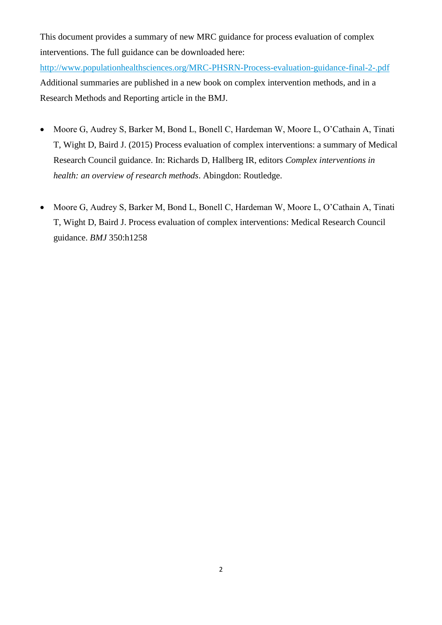This document provides a summary of new MRC guidance for process evaluation of complex interventions. The full guidance can be downloaded here:

<http://www.populationhealthsciences.org/MRC-PHSRN-Process-evaluation-guidance-final-2-.pdf> Additional summaries are published in a new book on complex intervention methods, and in a Research Methods and Reporting article in the BMJ.

- Moore G, Audrey S, Barker M, Bond L, Bonell C, Hardeman W, Moore L, O'Cathain A, Tinati T, Wight D, Baird J. (2015) Process evaluation of complex interventions: a summary of Medical Research Council guidance. In: Richards D, Hallberg IR, editors *Complex interventions in health: an overview of research methods*. Abingdon: Routledge.
- Moore G, Audrey S, Barker M, Bond L, Bonell C, Hardeman W, Moore L, O'Cathain A, Tinati T, Wight D, Baird J. Process evaluation of complex interventions: Medical Research Council guidance. *BMJ* 350:h1258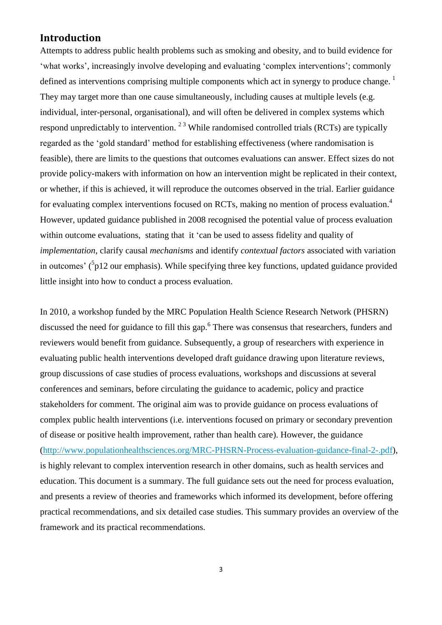## **Introduction**

Attempts to address public health problems such as smoking and obesity, and to build evidence for 'what works', increasingly involve developing and evaluating 'complex interventions'; commonly defined as interventions comprising multiple components which act in synergy to produce change.<sup>1</sup> They may target more than one cause simultaneously, including causes at multiple levels (e.g. individual, inter-personal, organisational), and will often be delivered in complex systems which respond unpredictably to intervention.  $2<sup>3</sup>$  While randomised controlled trials (RCTs) are typically regarded as the 'gold standard' method for establishing effectiveness (where randomisation is feasible), there are limits to the questions that outcomes evaluations can answer. Effect sizes do not provide policy-makers with information on how an intervention might be replicated in their context, or whether, if this is achieved, it will reproduce the outcomes observed in the trial. Earlier guidance for evaluating complex interventions focused on RCTs, making no mention of process evaluation.<sup>4</sup> However, updated guidance published in 2008 recognised the potential value of process evaluation within outcome evaluations, stating that it 'can be used to assess fidelity and quality of *implementation*, clarify causal *mechanisms* and identify *contextual factors* associated with variation in outcomes'  $(^{5}p12$  our emphasis). While specifying three key functions, updated guidance provided little insight into how to conduct a process evaluation.

In 2010, a workshop funded by the MRC Population Health Science Research Network (PHSRN) discussed the need for guidance to fill this gap.<sup>6</sup> There was consensus that researchers, funders and reviewers would benefit from guidance. Subsequently, a group of researchers with experience in evaluating public health interventions developed draft guidance drawing upon literature reviews, group discussions of case studies of process evaluations, workshops and discussions at several conferences and seminars, before circulating the guidance to academic, policy and practice stakeholders for comment. The original aim was to provide guidance on process evaluations of complex public health interventions (i.e. interventions focused on primary or secondary prevention of disease or positive health improvement, rather than health care). However, the guidance [\(http://www.populationhealthsciences.org/MRC-PHSRN-Process-evaluation-guidance-final-2-.pdf\)](http://www.populationhealthsciences.org/MRC-PHSRN-Process-evaluation-guidance-final-2-.pdf), is highly relevant to complex intervention research in other domains, such as health services and education. This document is a summary. The full guidance sets out the need for process evaluation, and presents a review of theories and frameworks which informed its development, before offering practical recommendations, and six detailed case studies. This summary provides an overview of the framework and its practical recommendations.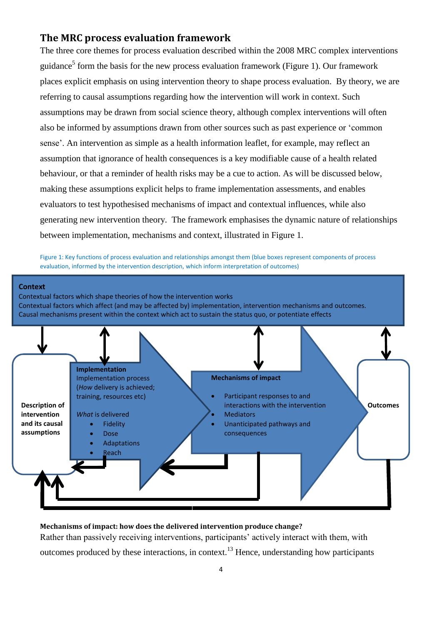## **The MRC process evaluation framework**

The three core themes for process evaluation described within the 2008 MRC complex interventions guidance<sup>5</sup> form the basis for the new process evaluation framework (Figure 1). Our framework places explicit emphasis on using intervention theory to shape process evaluation. By theory, we are referring to causal assumptions regarding how the intervention will work in context. Such assumptions may be drawn from social science theory, although complex interventions will often also be informed by assumptions drawn from other sources such as past experience or 'common sense'. An intervention as simple as a health information leaflet, for example, may reflect an assumption that ignorance of health consequences is a key modifiable cause of a health related behaviour, or that a reminder of health risks may be a cue to action. As will be discussed below, making these assumptions explicit helps to frame implementation assessments, and enables evaluators to test hypothesised mechanisms of impact and contextual influences, while also generating new intervention theory. The framework emphasises the dynamic nature of relationships between implementation, mechanisms and context, illustrated in Figure 1.

Figure 1: Key functions of process evaluation and relationships amongst them (blue boxes represent components of process evaluation, informed by the intervention description, which inform interpretation of outcomes)



**Mechanisms of impact: how does the delivered intervention produce change?** Rather than passively receiving interventions, participants' actively interact with them, with outcomes produced by these interactions, in context.<sup>13</sup> Hence, understanding how participants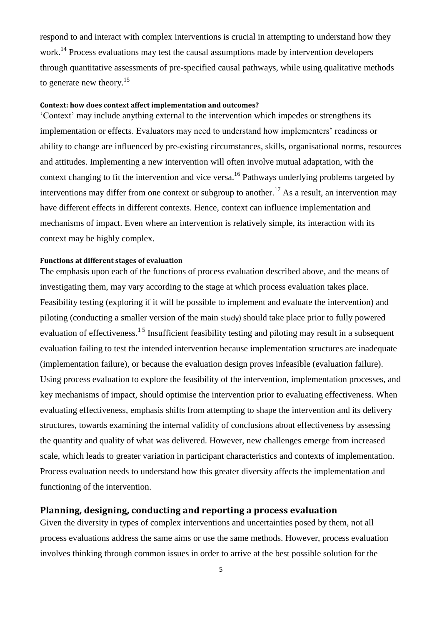respond to and interact with complex interventions is crucial in attempting to understand how they work.<sup>14</sup> Process evaluations may test the causal assumptions made by intervention developers through quantitative assessments of pre-specified causal pathways, while using qualitative methods to generate new theory.<sup>15</sup>

### **Context: how does context affect implementation and outcomes?**

'Context' may include anything external to the intervention which impedes or strengthens its implementation or effects. Evaluators may need to understand how implementers' readiness or ability to change are influenced by pre-existing circumstances, skills, organisational norms, resources and attitudes. Implementing a new intervention will often involve mutual adaptation, with the context changing to fit the intervention and vice versa.<sup>16</sup> Pathways underlying problems targeted by interventions may differ from one context or subgroup to another.<sup>17</sup> As a result, an intervention may have different effects in different contexts. Hence, context can influence implementation and mechanisms of impact. Even where an intervention is relatively simple, its interaction with its context may be highly complex.

#### **Functions at different stages of evaluation**

The emphasis upon each of the functions of process evaluation described above, and the means of investigating them, may vary according to the stage at which process evaluation takes place. Feasibility testing (exploring if it will be possible to implement and evaluate the intervention) and piloting (conducting a smaller version of the main study) should take place prior to fully powered evaluation of effectiveness.<sup>15</sup> Insufficient feasibility testing and piloting may result in a subsequent evaluation failing to test the intended intervention because implementation structures are inadequate (implementation failure), or because the evaluation design proves infeasible (evaluation failure). Using process evaluation to explore the feasibility of the intervention, implementation processes, and key mechanisms of impact, should optimise the intervention prior to evaluating effectiveness. When evaluating effectiveness, emphasis shifts from attempting to shape the intervention and its delivery structures, towards examining the internal validity of conclusions about effectiveness by assessing the quantity and quality of what was delivered. However, new challenges emerge from increased scale, which leads to greater variation in participant characteristics and contexts of implementation. Process evaluation needs to understand how this greater diversity affects the implementation and functioning of the intervention.

## **Planning, designing, conducting and reporting a process evaluation**

Given the diversity in types of complex interventions and uncertainties posed by them, not all process evaluations address the same aims or use the same methods. However, process evaluation involves thinking through common issues in order to arrive at the best possible solution for the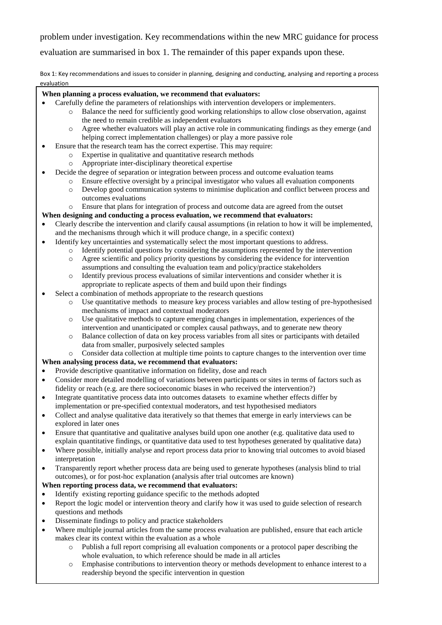problem under investigation. Key recommendations within the new MRC guidance for process

evaluation are summarised in box 1. The remainder of this paper expands upon these.

Box 1: Key recommendations and issues to consider in planning, designing and conducting, analysing and reporting a process evaluation

## **When planning a process evaluation, we recommend that evaluators:**

- Carefully define the parameters of relationships with intervention developers or implementers.
	- o Balance the need for sufficiently good working relationships to allow close observation, against the need to remain credible as independent evaluators
	- o Agree whether evaluators will play an active role in communicating findings as they emerge (and helping correct implementation challenges) or play a more passive role
- Ensure that the research team has the correct expertise. This may require:
	- o Expertise in qualitative and quantitative research methods
	- o Appropriate inter-disciplinary theoretical expertise
- Decide the degree of separation or integration between process and outcome evaluation teams
	- o Ensure effective oversight by a principal investigator who values all evaluation components
	- o Develop good communication systems to minimise duplication and conflict between process and outcomes evaluations

## o Ensure that plans for integration of process and outcome data are agreed from the outset

## **When designing and conducting a process evaluation, we recommend that evaluators:**

- Clearly describe the intervention and clarify causal assumptions (in relation to how it will be implemented, and the mechanisms through which it will produce change, in a specific context)
- Identify key uncertainties and systematically select the most important questions to address.
	- o Identify potential questions by considering the assumptions represented by the intervention
	- o Agree scientific and policy priority questions by considering the evidence for intervention assumptions and consulting the evaluation team and policy/practice stakeholders
	- o Identify previous process evaluations of similar interventions and consider whether it is appropriate to replicate aspects of them and build upon their findings
- Select a combination of methods appropriate to the research questions
	- o Use quantitative methods to measure key process variables and allow testing of pre-hypothesised mechanisms of impact and contextual moderators
	- o Use qualitative methods to capture emerging changes in implementation, experiences of the intervention and unanticipated or complex causal pathways, and to generate new theory
	- o Balance collection of data on key process variables from all sites or participants with detailed data from smaller, purposively selected samples

#### o Consider data collection at multiple time points to capture changes to the intervention over time

### **When analysing process data, we recommend that evaluators:**

- Provide descriptive quantitative information on fidelity, dose and reach
- Consider more detailed modelling of variations between participants or sites in terms of factors such as fidelity or reach (e.g. are there socioeconomic biases in who received the intervention?)
- Integrate quantitative process data into outcomes datasets to examine whether effects differ by implementation or pre-specified contextual moderators, and test hypothesised mediators
- Collect and analyse qualitative data iteratively so that themes that emerge in early interviews can be explored in later ones
- Ensure that quantitative and qualitative analyses build upon one another (e.g. qualitative data used to explain quantitative findings, or quantitative data used to test hypotheses generated by qualitative data)
- Where possible, initially analyse and report process data prior to knowing trial outcomes to avoid biased interpretation
- Transparently report whether process data are being used to generate hypotheses (analysis blind to trial outcomes), or for post-hoc explanation (analysis after trial outcomes are known)

## **When reporting process data, we recommend that evaluators:**

- Identify existing reporting guidance specific to the methods adopted
- Report the logic model or intervention theory and clarify how it was used to guide selection of research questions and methods
- Disseminate findings to policy and practice stakeholders
- Where multiple journal articles from the same process evaluation are published, ensure that each article makes clear its context within the evaluation as a whole
	- o Publish a full report comprising all evaluation components or a protocol paper describing the whole evaluation, to which reference should be made in all articles
	- 6 readership beyond the specific intervention in questiono Emphasise contributions to intervention theory or methods development to enhance interest to a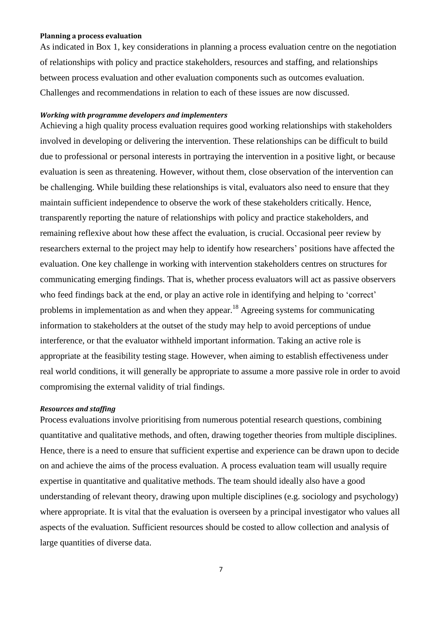#### **Planning a process evaluation**

As indicated in Box 1, key considerations in planning a process evaluation centre on the negotiation of relationships with policy and practice stakeholders, resources and staffing, and relationships between process evaluation and other evaluation components such as outcomes evaluation. Challenges and recommendations in relation to each of these issues are now discussed.

#### *Working with programme developers and implementers*

Achieving a high quality process evaluation requires good working relationships with stakeholders involved in developing or delivering the intervention. These relationships can be difficult to build due to professional or personal interests in portraying the intervention in a positive light, or because evaluation is seen as threatening. However, without them, close observation of the intervention can be challenging. While building these relationships is vital, evaluators also need to ensure that they maintain sufficient independence to observe the work of these stakeholders critically. Hence, transparently reporting the nature of relationships with policy and practice stakeholders, and remaining reflexive about how these affect the evaluation, is crucial. Occasional peer review by researchers external to the project may help to identify how researchers' positions have affected the evaluation. One key challenge in working with intervention stakeholders centres on structures for communicating emerging findings. That is, whether process evaluators will act as passive observers who feed findings back at the end, or play an active role in identifying and helping to 'correct' problems in implementation as and when they appear.<sup>18</sup> Agreeing systems for communicating information to stakeholders at the outset of the study may help to avoid perceptions of undue interference, or that the evaluator withheld important information. Taking an active role is appropriate at the feasibility testing stage. However, when aiming to establish effectiveness under real world conditions, it will generally be appropriate to assume a more passive role in order to avoid compromising the external validity of trial findings.

#### *Resources and staffing*

Process evaluations involve prioritising from numerous potential research questions, combining quantitative and qualitative methods, and often, drawing together theories from multiple disciplines. Hence, there is a need to ensure that sufficient expertise and experience can be drawn upon to decide on and achieve the aims of the process evaluation. A process evaluation team will usually require expertise in quantitative and qualitative methods. The team should ideally also have a good understanding of relevant theory, drawing upon multiple disciplines (e.g. sociology and psychology) where appropriate. It is vital that the evaluation is overseen by a principal investigator who values all aspects of the evaluation. Sufficient resources should be costed to allow collection and analysis of large quantities of diverse data.

7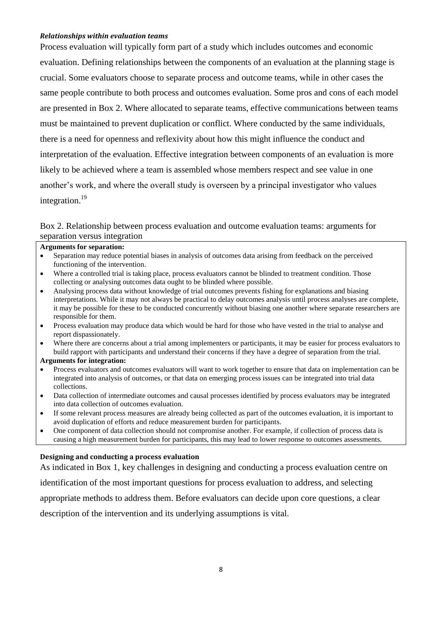### *Relationships within evaluation teams*

Process evaluation will typically form part of a study which includes outcomes and economic evaluation. Defining relationships between the components of an evaluation at the planning stage is crucial. Some evaluators choose to separate process and outcome teams, while in other cases the same people contribute to both process and outcomes evaluation. Some pros and cons of each model are presented in Box 2. Where allocated to separate teams, effective communications between teams must be maintained to prevent duplication or conflict. Where conducted by the same individuals, there is a need for openness and reflexivity about how this might influence the conduct and interpretation of the evaluation. Effective integration between components of an evaluation is more likely to be achieved where a team is assembled whose members respect and see value in one another's work, and where the overall study is overseen by a principal investigator who values integration.<sup>19</sup>

## Box 2. Relationship between process evaluation and outcome evaluation teams: arguments for separation versus integration

#### **Arguments for separation:**

- Separation may reduce potential biases in analysis of outcomes data arising from feedback on the perceived functioning of the intervention.
- Where a controlled trial is taking place, process evaluators cannot be blinded to treatment condition. Those collecting or analysing outcomes data ought to be blinded where possible.
- Analysing process data without knowledge of trial outcomes prevents fishing for explanations and biasing interpretations. While it may not always be practical to delay outcomes analysis until process analyses are complete, it may be possible for these to be conducted concurrently without biasing one another where separate researchers are responsible for them.
- Process evaluation may produce data which would be hard for those who have vested in the trial to analyse and report dispassionately.
- Where there are concerns about a trial among implementers or participants, it may be easier for process evaluators to build rapport with participants and understand their concerns if they have a degree of separation from the trial.

## **Arguments for integration:**

- Process evaluators and outcomes evaluators will want to work together to ensure that data on implementation can be integrated into analysis of outcomes, or that data on emerging process issues can be integrated into trial data collections.
- Data collection of intermediate outcomes and causal processes identified by process evaluators may be integrated into data collection of outcomes evaluation.
- If some relevant process measures are already being collected as part of the outcomes evaluation, it is important to avoid duplication of efforts and reduce measurement burden for participants.
- One component of data collection should not compromise another. For example, if collection of process data is causing a high measurement burden for participants, this may lead to lower response to outcomes assessments.

#### **Designing and conducting a process evaluation**

As indicated in Box 1, key challenges in designing and conducting a process evaluation centre on

identification of the most important questions for process evaluation to address, and selecting

appropriate methods to address them. Before evaluators can decide upon core questions, a clear

description of the intervention and its underlying assumptions is vital.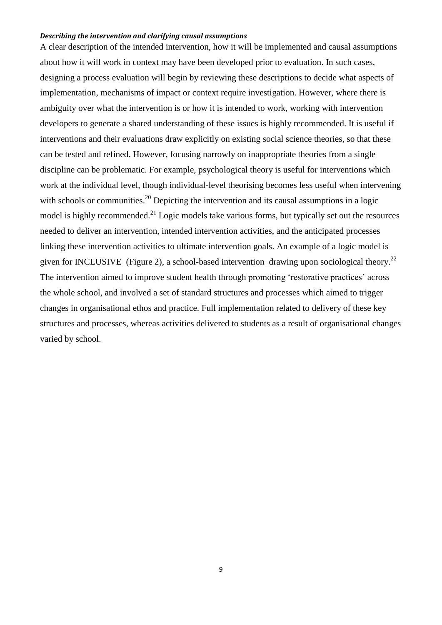#### *Describing the intervention and clarifying causal assumptions*

A clear description of the intended intervention, how it will be implemented and causal assumptions about how it will work in context may have been developed prior to evaluation. In such cases, designing a process evaluation will begin by reviewing these descriptions to decide what aspects of implementation, mechanisms of impact or context require investigation. However, where there is ambiguity over what the intervention is or how it is intended to work, working with intervention developers to generate a shared understanding of these issues is highly recommended. It is useful if interventions and their evaluations draw explicitly on existing social science theories, so that these can be tested and refined. However, focusing narrowly on inappropriate theories from a single discipline can be problematic. For example, psychological theory is useful for interventions which work at the individual level, though individual-level theorising becomes less useful when intervening with schools or communities.<sup>20</sup> Depicting the intervention and its causal assumptions in a logic model is highly recommended. $^{21}$  Logic models take various forms, but typically set out the resources needed to deliver an intervention, intended intervention activities, and the anticipated processes linking these intervention activities to ultimate intervention goals. An example of a logic model is given for INCLUSIVE (Figure 2), a school-based intervention drawing upon sociological theory.<sup>22</sup> The intervention aimed to improve student health through promoting 'restorative practices' across the whole school, and involved a set of standard structures and processes which aimed to trigger changes in organisational ethos and practice. Full implementation related to delivery of these key structures and processes, whereas activities delivered to students as a result of organisational changes varied by school.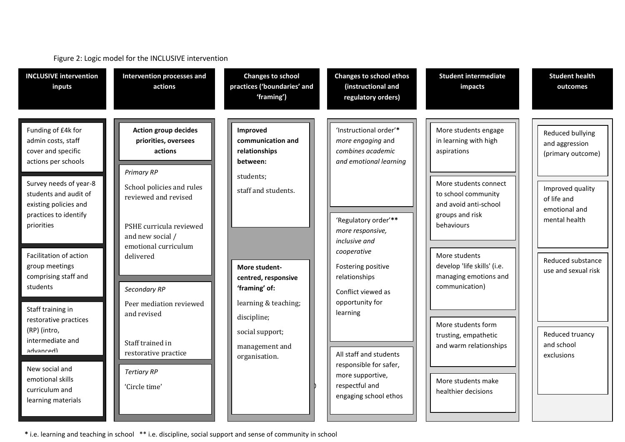| <b>INCLUSIVE intervention</b><br>inputs                                                                                                             | <b>Intervention processes and</b><br>actions                                                                             | <b>Changes to school</b><br>practices ('boundaries' and<br>'framing')         | <b>Changes to school ethos</b><br>(instructional and<br>regulatory orders)                                                  | <b>Student intermediate</b><br>impacts                                                                            | <b>Student health</b><br>outcomes                                 |
|-----------------------------------------------------------------------------------------------------------------------------------------------------|--------------------------------------------------------------------------------------------------------------------------|-------------------------------------------------------------------------------|-----------------------------------------------------------------------------------------------------------------------------|-------------------------------------------------------------------------------------------------------------------|-------------------------------------------------------------------|
| Funding of £4k for<br>admin costs, staff<br>cover and specific<br>actions per schools                                                               | <b>Action group decides</b><br>priorities, oversees<br>actions<br><b>Primary RP</b>                                      | Improved<br>communication and<br>relationships<br>between:                    | 'Instructional order'*<br>more engaging and<br>combines academic<br>and emotional learning                                  | More students engage<br>in learning with high<br>aspirations                                                      | Reduced bullying<br>and aggression<br>(primary outcome)           |
| Survey needs of year-8<br>students and audit of<br>existing policies and<br>practices to identify<br>priorities                                     | School policies and rules<br>reviewed and revised<br>PSHE curricula reviewed<br>and new social /<br>emotional curriculum | students;<br>staff and students.                                              | 'Regulatory order'**<br>more responsive,<br>inclusive and                                                                   | More students connect<br>to school community<br>and avoid anti-school<br>groups and risk<br>behaviours            | Improved quality<br>of life and<br>emotional and<br>mental health |
| Facilitation of action<br>group meetings<br>comprising staff and<br>students                                                                        | delivered<br>Secondary RP<br>Peer mediation reviewed                                                                     | More student-<br>centred, responsive<br>'framing' of:<br>learning & teaching; | cooperative<br>Fostering positive<br>relationships<br>Conflict viewed as<br>opportunity for                                 | More students<br>develop 'life skills' (i.e.<br>managing emotions and<br>communication)                           | Reduced substance<br>use and sexual risk                          |
| Staff training in<br>restorative practices<br>(RP) (intro,<br>intermediate and<br>Ihanncuha<br>New social and<br>emotional skills<br>curriculum and | and revised<br>Staff trained in<br>restorative practice<br><b>Tertiary RP</b><br>'Circle time'                           | discipline;<br>social support;<br>management and<br>organisation.             | learning<br>All staff and students<br>responsible for safer,<br>more supportive,<br>respectful and<br>engaging school ethos | More students form<br>trusting, empathetic<br>and warm relationships<br>More students make<br>healthier decisions | Reduced truancy<br>and school<br>exclusions                       |
| learning materials                                                                                                                                  |                                                                                                                          |                                                                               |                                                                                                                             |                                                                                                                   |                                                                   |

Figure 2: Logic model for the INCLUSIVE intervention

**\*** i.e. learning and teaching in school \*\* i.e. discipline, social support and sense of community in school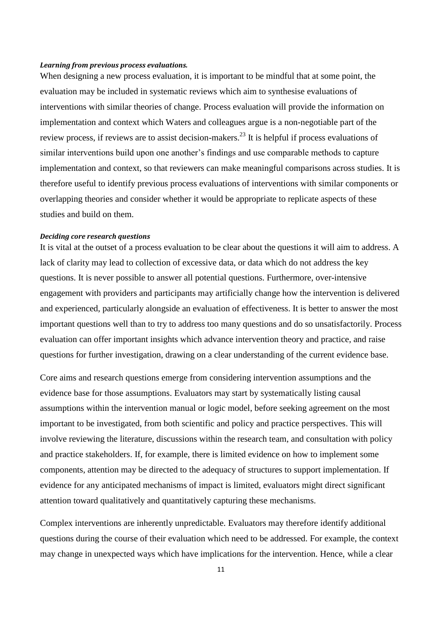#### *Learning from previous process evaluations.*

When designing a new process evaluation, it is important to be mindful that at some point, the evaluation may be included in systematic reviews which aim to synthesise evaluations of interventions with similar theories of change. Process evaluation will provide the information on implementation and context which Waters and colleagues argue is a non-negotiable part of the review process, if reviews are to assist decision-makers.<sup>23</sup> It is helpful if process evaluations of similar interventions build upon one another's findings and use comparable methods to capture implementation and context, so that reviewers can make meaningful comparisons across studies. It is therefore useful to identify previous process evaluations of interventions with similar components or overlapping theories and consider whether it would be appropriate to replicate aspects of these studies and build on them.

#### *Deciding core research questions*

It is vital at the outset of a process evaluation to be clear about the questions it will aim to address. A lack of clarity may lead to collection of excessive data, or data which do not address the key questions. It is never possible to answer all potential questions. Furthermore, over-intensive engagement with providers and participants may artificially change how the intervention is delivered and experienced, particularly alongside an evaluation of effectiveness. It is better to answer the most important questions well than to try to address too many questions and do so unsatisfactorily. Process evaluation can offer important insights which advance intervention theory and practice, and raise questions for further investigation, drawing on a clear understanding of the current evidence base.

Core aims and research questions emerge from considering intervention assumptions and the evidence base for those assumptions. Evaluators may start by systematically listing causal assumptions within the intervention manual or logic model, before seeking agreement on the most important to be investigated, from both scientific and policy and practice perspectives. This will involve reviewing the literature, discussions within the research team, and consultation with policy and practice stakeholders. If, for example, there is limited evidence on how to implement some components, attention may be directed to the adequacy of structures to support implementation. If evidence for any anticipated mechanisms of impact is limited, evaluators might direct significant attention toward qualitatively and quantitatively capturing these mechanisms.

Complex interventions are inherently unpredictable. Evaluators may therefore identify additional questions during the course of their evaluation which need to be addressed. For example, the context may change in unexpected ways which have implications for the intervention. Hence, while a clear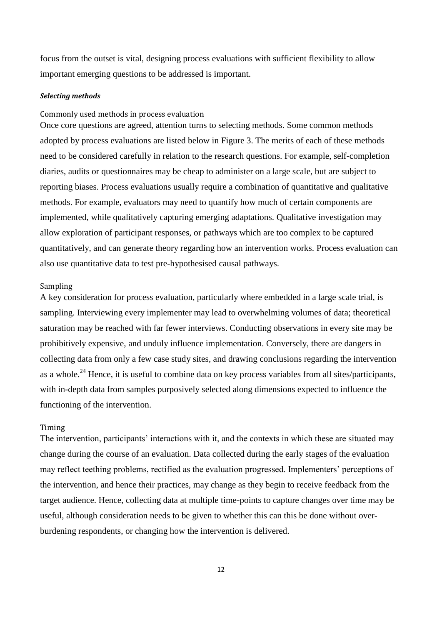focus from the outset is vital, designing process evaluations with sufficient flexibility to allow important emerging questions to be addressed is important.

#### *Selecting methods*

### Commonly used methods in process evaluation

Once core questions are agreed, attention turns to selecting methods. Some common methods adopted by process evaluations are listed below in Figure 3. The merits of each of these methods need to be considered carefully in relation to the research questions. For example, self-completion diaries, audits or questionnaires may be cheap to administer on a large scale, but are subject to reporting biases. Process evaluations usually require a combination of quantitative and qualitative methods. For example, evaluators may need to quantify how much of certain components are implemented, while qualitatively capturing emerging adaptations. Qualitative investigation may allow exploration of participant responses, or pathways which are too complex to be captured quantitatively, and can generate theory regarding how an intervention works. Process evaluation can also use quantitative data to test pre-hypothesised causal pathways.

#### Sampling

A key consideration for process evaluation, particularly where embedded in a large scale trial, is sampling. Interviewing every implementer may lead to overwhelming volumes of data; theoretical saturation may be reached with far fewer interviews. Conducting observations in every site may be prohibitively expensive, and unduly influence implementation. Conversely, there are dangers in collecting data from only a few case study sites, and drawing conclusions regarding the intervention as a whole.<sup>24</sup> Hence, it is useful to combine data on key process variables from all sites/participants, with in-depth data from samples purposively selected along dimensions expected to influence the functioning of the intervention.

### Timing

The intervention, participants' interactions with it, and the contexts in which these are situated may change during the course of an evaluation. Data collected during the early stages of the evaluation may reflect teething problems, rectified as the evaluation progressed. Implementers' perceptions of the intervention, and hence their practices, may change as they begin to receive feedback from the target audience. Hence, collecting data at multiple time-points to capture changes over time may be useful, although consideration needs to be given to whether this can this be done without overburdening respondents, or changing how the intervention is delivered.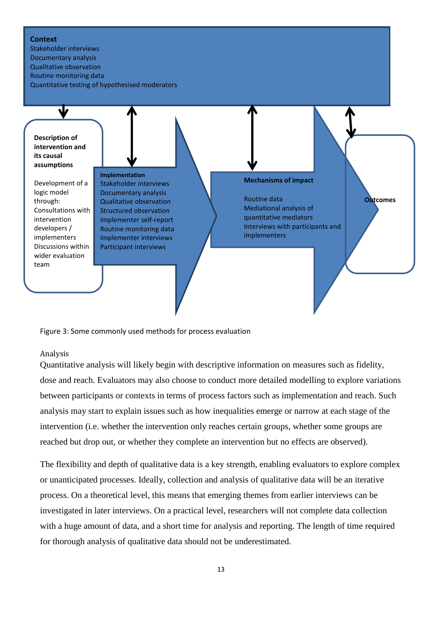#### **Context**

Stakeholder interviews Documentary analysis Qualitative observation Routine monitoring data Quantitative testing of hypothesised moderators



Figure 3: Some commonly used methods for process evaluation

## Analysis

Quantitative analysis will likely begin with descriptive information on measures such as fidelity, dose and reach. Evaluators may also choose to conduct more detailed modelling to explore variations between participants or contexts in terms of process factors such as implementation and reach. Such analysis may start to explain issues such as how inequalities emerge or narrow at each stage of the intervention (i.e. whether the intervention only reaches certain groups, whether some groups are reached but drop out, or whether they complete an intervention but no effects are observed).

The flexibility and depth of qualitative data is a key strength, enabling evaluators to explore complex or unanticipated processes. Ideally, collection and analysis of qualitative data will be an iterative process. On a theoretical level, this means that emerging themes from earlier interviews can be investigated in later interviews. On a practical level, researchers will not complete data collection with a huge amount of data, and a short time for analysis and reporting. The length of time required for thorough analysis of qualitative data should not be underestimated.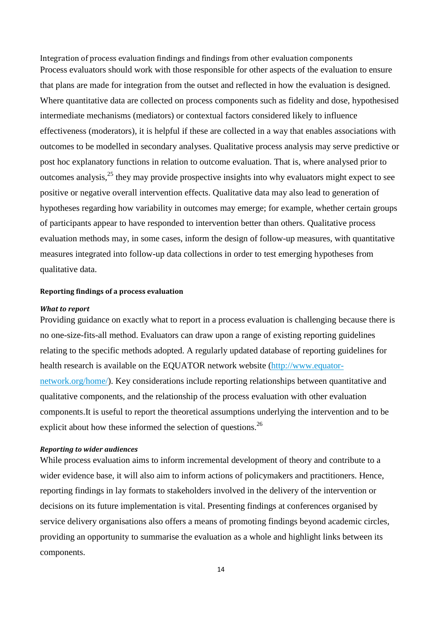Integration of process evaluation findings and findings from other evaluation components Process evaluators should work with those responsible for other aspects of the evaluation to ensure that plans are made for integration from the outset and reflected in how the evaluation is designed. Where quantitative data are collected on process components such as fidelity and dose, hypothesised intermediate mechanisms (mediators) or contextual factors considered likely to influence effectiveness (moderators), it is helpful if these are collected in a way that enables associations with outcomes to be modelled in secondary analyses. Qualitative process analysis may serve predictive or post hoc explanatory functions in relation to outcome evaluation. That is, where analysed prior to outcomes analysis, $^{25}$  they may provide prospective insights into why evaluators might expect to see positive or negative overall intervention effects. Qualitative data may also lead to generation of hypotheses regarding how variability in outcomes may emerge; for example, whether certain groups of participants appear to have responded to intervention better than others. Qualitative process evaluation methods may, in some cases, inform the design of follow-up measures, with quantitative measures integrated into follow-up data collections in order to test emerging hypotheses from qualitative data.

#### **Reporting findings of a process evaluation**

#### *What to report*

Providing guidance on exactly what to report in a process evaluation is challenging because there is no one-size-fits-all method. Evaluators can draw upon a range of existing reporting guidelines relating to the specific methods adopted. A regularly updated database of reporting guidelines for health research is available on the EQUATOR network website [\(http://www.equator](http://www.equator-network.org/home/)[network.org/home/\)](http://www.equator-network.org/home/). Key considerations include reporting relationships between quantitative and qualitative components, and the relationship of the process evaluation with other evaluation components.It is useful to report the theoretical assumptions underlying the intervention and to be explicit about how these informed the selection of questions.<sup>26</sup>

#### *Reporting to wider audiences*

While process evaluation aims to inform incremental development of theory and contribute to a wider evidence base, it will also aim to inform actions of policymakers and practitioners. Hence, reporting findings in lay formats to stakeholders involved in the delivery of the intervention or decisions on its future implementation is vital. Presenting findings at conferences organised by service delivery organisations also offers a means of promoting findings beyond academic circles, providing an opportunity to summarise the evaluation as a whole and highlight links between its components.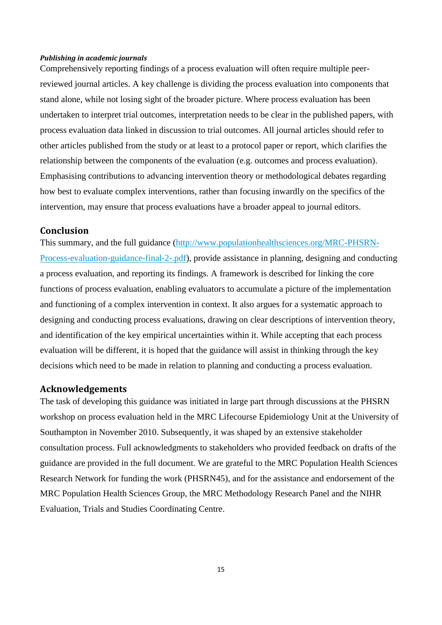#### *Publishing in academic journals*

Comprehensively reporting findings of a process evaluation will often require multiple peerreviewed journal articles. A key challenge is dividing the process evaluation into components that stand alone, while not losing sight of the broader picture. Where process evaluation has been undertaken to interpret trial outcomes, interpretation needs to be clear in the published papers, with process evaluation data linked in discussion to trial outcomes. All journal articles should refer to other articles published from the study or at least to a protocol paper or report, which clarifies the relationship between the components of the evaluation (e.g. outcomes and process evaluation). Emphasising contributions to advancing intervention theory or methodological debates regarding how best to evaluate complex interventions, rather than focusing inwardly on the specifics of the intervention, may ensure that process evaluations have a broader appeal to journal editors.

## **Conclusion**

This summary, and the full guidance [\(http://www.populationhealthsciences.org/MRC-PHSRN-](http://www.populationhealthsciences.org/MRC-PHSRN-Process-evaluation-guidance-final-2-.pdf)[Process-evaluation-guidance-final-2-.pdf\)](http://www.populationhealthsciences.org/MRC-PHSRN-Process-evaluation-guidance-final-2-.pdf), provide assistance in planning, designing and conducting a process evaluation, and reporting its findings. A framework is described for linking the core functions of process evaluation, enabling evaluators to accumulate a picture of the implementation and functioning of a complex intervention in context. It also argues for a systematic approach to designing and conducting process evaluations, drawing on clear descriptions of intervention theory, and identification of the key empirical uncertainties within it. While accepting that each process evaluation will be different, it is hoped that the guidance will assist in thinking through the key decisions which need to be made in relation to planning and conducting a process evaluation.

## **Acknowledgements**

The task of developing this guidance was initiated in large part through discussions at the PHSRN workshop on process evaluation held in the MRC Lifecourse Epidemiology Unit at the University of Southampton in November 2010. Subsequently, it was shaped by an extensive stakeholder consultation process. Full acknowledgments to stakeholders who provided feedback on drafts of the guidance are provided in the full document. We are grateful to the MRC Population Health Sciences Research Network for funding the work (PHSRN45), and for the assistance and endorsement of the MRC Population Health Sciences Group, the MRC Methodology Research Panel and the NIHR Evaluation, Trials and Studies Coordinating Centre.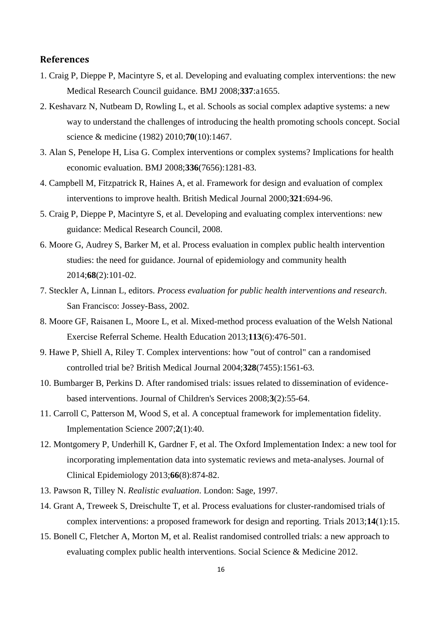## **References**

- 1. Craig P, Dieppe P, Macintyre S, et al. Developing and evaluating complex interventions: the new Medical Research Council guidance. BMJ 2008;**337**:a1655.
- 2. Keshavarz N, Nutbeam D, Rowling L, et al. Schools as social complex adaptive systems: a new way to understand the challenges of introducing the health promoting schools concept. Social science & medicine (1982) 2010;**70**(10):1467.
- 3. Alan S, Penelope H, Lisa G. Complex interventions or complex systems? Implications for health economic evaluation. BMJ 2008;**336**(7656):1281-83.
- 4. Campbell M, Fitzpatrick R, Haines A, et al. Framework for design and evaluation of complex interventions to improve health. British Medical Journal 2000;**321**:694-96.
- 5. Craig P, Dieppe P, Macintyre S, et al. Developing and evaluating complex interventions: new guidance: Medical Research Council, 2008.
- 6. Moore G, Audrey S, Barker M, et al. Process evaluation in complex public health intervention studies: the need for guidance. Journal of epidemiology and community health 2014;**68**(2):101-02.
- 7. Steckler A, Linnan L, editors. *Process evaluation for public health interventions and research*. San Francisco: Jossey-Bass, 2002.
- 8. Moore GF, Raisanen L, Moore L, et al. Mixed-method process evaluation of the Welsh National Exercise Referral Scheme. Health Education 2013;**113**(6):476-501.
- 9. Hawe P, Shiell A, Riley T. Complex interventions: how "out of control" can a randomised controlled trial be? British Medical Journal 2004;**328**(7455):1561-63.
- 10. Bumbarger B, Perkins D. After randomised trials: issues related to dissemination of evidencebased interventions. Journal of Children's Services 2008;**3**(2):55-64.
- 11. Carroll C, Patterson M, Wood S, et al. A conceptual framework for implementation fidelity. Implementation Science 2007;**2**(1):40.
- 12. Montgomery P, Underhill K, Gardner F, et al. The Oxford Implementation Index: a new tool for incorporating implementation data into systematic reviews and meta-analyses. Journal of Clinical Epidemiology 2013;**66**(8):874-82.
- 13. Pawson R, Tilley N. *Realistic evaluation*. London: Sage, 1997.
- 14. Grant A, Treweek S, Dreischulte T, et al. Process evaluations for cluster-randomised trials of complex interventions: a proposed framework for design and reporting. Trials 2013;**14**(1):15.
- 15. Bonell C, Fletcher A, Morton M, et al. Realist randomised controlled trials: a new approach to evaluating complex public health interventions. Social Science & Medicine 2012.